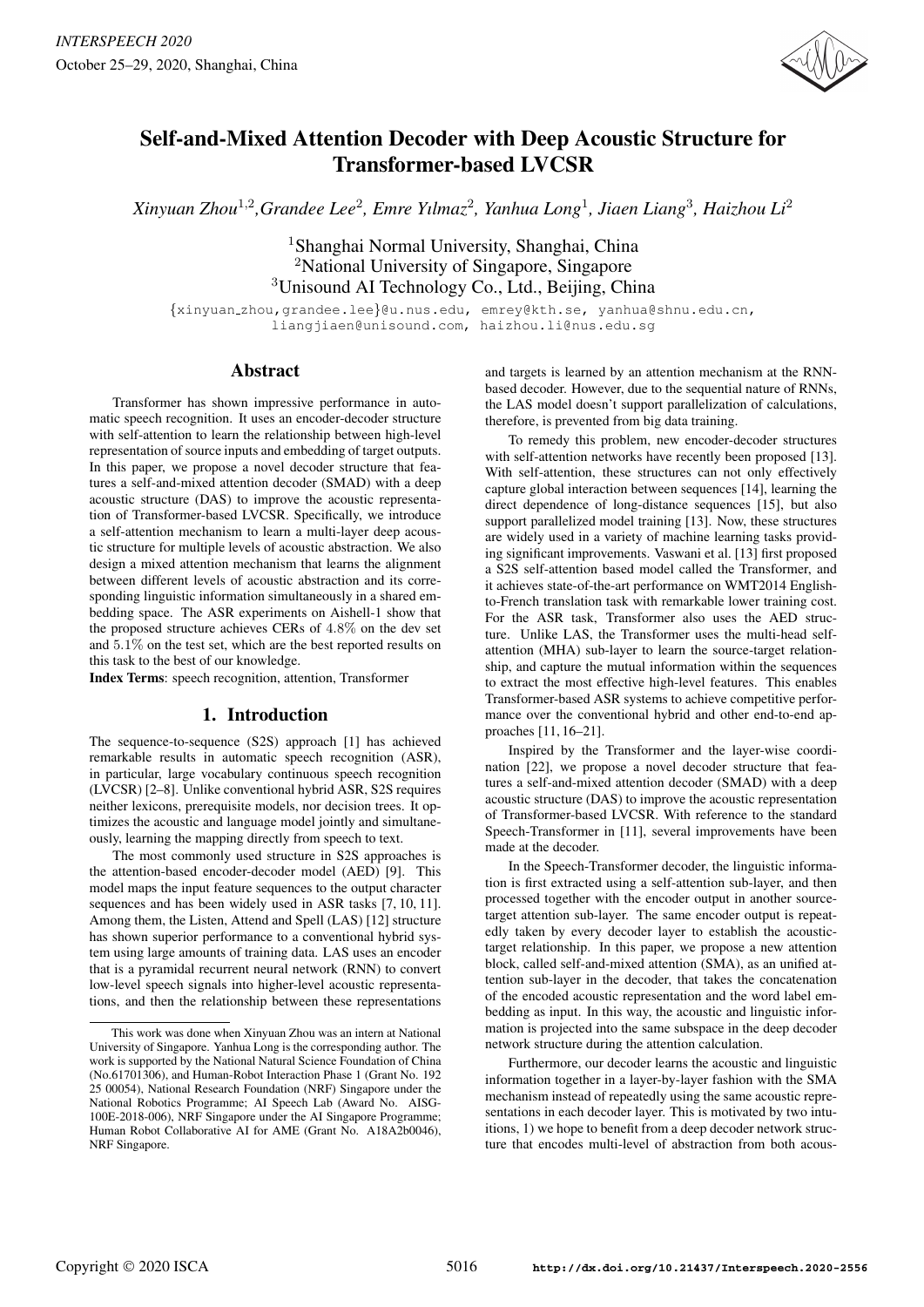

# Self-and-Mixed Attention Decoder with Deep Acoustic Structure for Transformer-based LVCSR

*Xinyuan Zhou*<sup>1</sup>,<sup>2</sup> *,Grandee Lee*<sup>2</sup> *, Emre Yılmaz*<sup>2</sup> *, Yanhua Long*<sup>1</sup> *, Jiaen Liang*<sup>3</sup> *, Haizhou Li*<sup>2</sup>

<sup>1</sup>Shanghai Normal University, Shanghai, China <sup>2</sup>National University of Singapore, Singapore <sup>3</sup>Unisound AI Technology Co., Ltd., Beijing, China

{xinyuan zhou,grandee.lee}@u.nus.edu, emrey@kth.se, yanhua@shnu.edu.cn, liangjiaen@unisound.com, haizhou.li@nus.edu.sg

# Abstract

Transformer has shown impressive performance in automatic speech recognition. It uses an encoder-decoder structure with self-attention to learn the relationship between high-level representation of source inputs and embedding of target outputs. In this paper, we propose a novel decoder structure that features a self-and-mixed attention decoder (SMAD) with a deep acoustic structure (DAS) to improve the acoustic representation of Transformer-based LVCSR. Specifically, we introduce a self-attention mechanism to learn a multi-layer deep acoustic structure for multiple levels of acoustic abstraction. We also design a mixed attention mechanism that learns the alignment between different levels of acoustic abstraction and its corresponding linguistic information simultaneously in a shared embedding space. The ASR experiments on Aishell-1 show that the proposed structure achieves CERs of 4.8% on the dev set and 5.1% on the test set, which are the best reported results on this task to the best of our knowledge.

Index Terms: speech recognition, attention, Transformer

# 1. Introduction

The sequence-to-sequence (S2S) approach [1] has achieved remarkable results in automatic speech recognition (ASR), in particular, large vocabulary continuous speech recognition (LVCSR) [2–8]. Unlike conventional hybrid ASR, S2S requires neither lexicons, prerequisite models, nor decision trees. It optimizes the acoustic and language model jointly and simultaneously, learning the mapping directly from speech to text.

The most commonly used structure in S2S approaches is the attention-based encoder-decoder model (AED) [9]. This model maps the input feature sequences to the output character sequences and has been widely used in ASR tasks [7, 10, 11]. Among them, the Listen, Attend and Spell (LAS) [12] structure has shown superior performance to a conventional hybrid system using large amounts of training data. LAS uses an encoder that is a pyramidal recurrent neural network (RNN) to convert low-level speech signals into higher-level acoustic representations, and then the relationship between these representations and targets is learned by an attention mechanism at the RNNbased decoder. However, due to the sequential nature of RNNs, the LAS model doesn't support parallelization of calculations, therefore, is prevented from big data training.

To remedy this problem, new encoder-decoder structures with self-attention networks have recently been proposed [13]. With self-attention, these structures can not only effectively capture global interaction between sequences [14], learning the direct dependence of long-distance sequences [15], but also support parallelized model training [13]. Now, these structures are widely used in a variety of machine learning tasks providing significant improvements. Vaswani et al. [13] first proposed a S2S self-attention based model called the Transformer, and it achieves state-of-the-art performance on WMT2014 Englishto-French translation task with remarkable lower training cost. For the ASR task, Transformer also uses the AED structure. Unlike LAS, the Transformer uses the multi-head selfattention (MHA) sub-layer to learn the source-target relationship, and capture the mutual information within the sequences to extract the most effective high-level features. This enables Transformer-based ASR systems to achieve competitive performance over the conventional hybrid and other end-to-end approaches [11, 16–21].

Inspired by the Transformer and the layer-wise coordination [22], we propose a novel decoder structure that features a self-and-mixed attention decoder (SMAD) with a deep acoustic structure (DAS) to improve the acoustic representation of Transformer-based LVCSR. With reference to the standard Speech-Transformer in [11], several improvements have been made at the decoder.

In the Speech-Transformer decoder, the linguistic information is first extracted using a self-attention sub-layer, and then processed together with the encoder output in another sourcetarget attention sub-layer. The same encoder output is repeatedly taken by every decoder layer to establish the acoustictarget relationship. In this paper, we propose a new attention block, called self-and-mixed attention (SMA), as an unified attention sub-layer in the decoder, that takes the concatenation of the encoded acoustic representation and the word label embedding as input. In this way, the acoustic and linguistic information is projected into the same subspace in the deep decoder network structure during the attention calculation.

Furthermore, our decoder learns the acoustic and linguistic information together in a layer-by-layer fashion with the SMA mechanism instead of repeatedly using the same acoustic representations in each decoder layer. This is motivated by two intuitions, 1) we hope to benefit from a deep decoder network structure that encodes multi-level of abstraction from both acous-

This work was done when Xinyuan Zhou was an intern at National University of Singapore. Yanhua Long is the corresponding author. The work is supported by the National Natural Science Foundation of China (No.61701306), and Human-Robot Interaction Phase 1 (Grant No. 192 25 00054), National Research Foundation (NRF) Singapore under the National Robotics Programme; AI Speech Lab (Award No. AISG-100E-2018-006), NRF Singapore under the AI Singapore Programme; Human Robot Collaborative AI for AME (Grant No. A18A2b0046), NRF Singapore.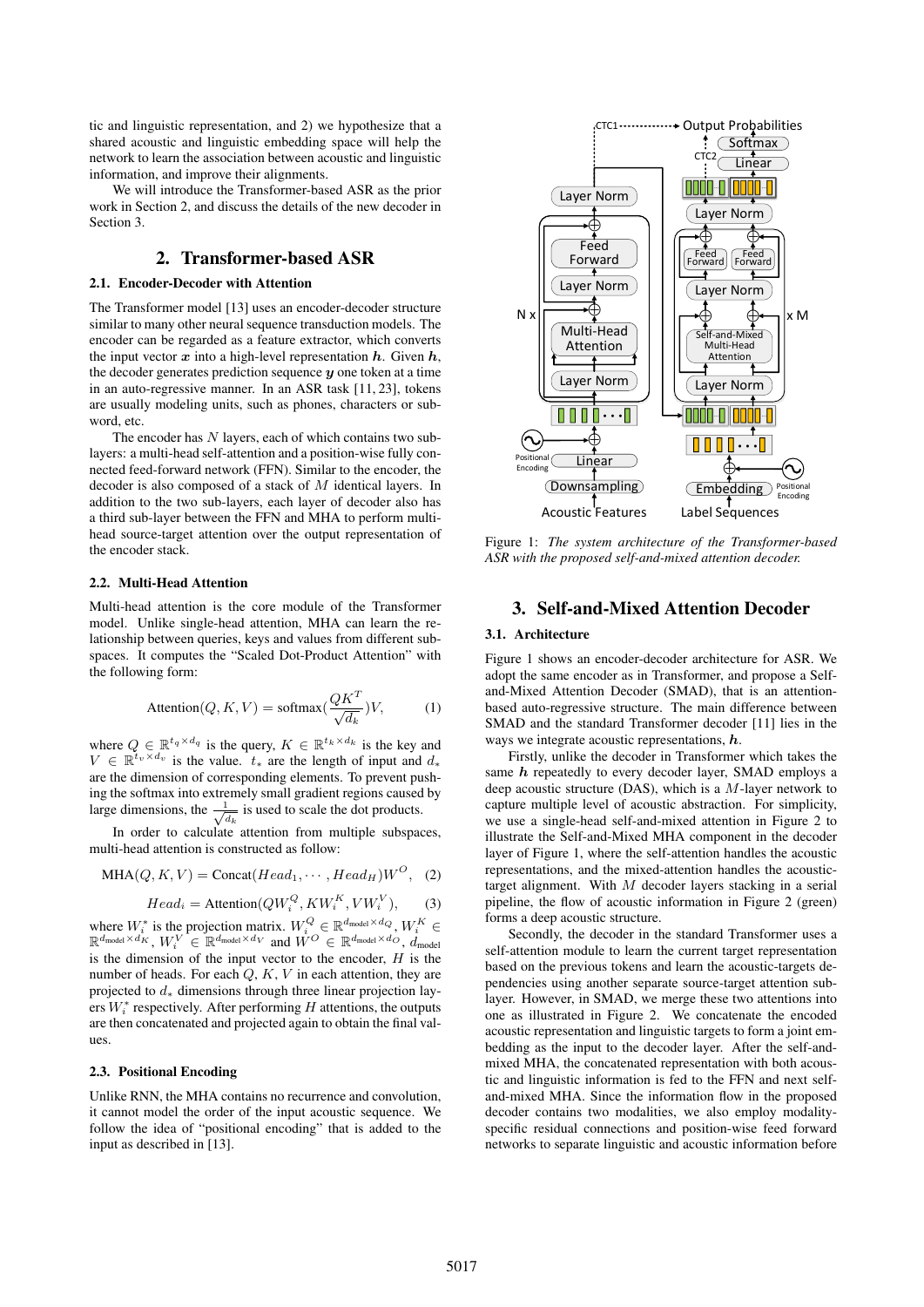tic and linguistic representation, and 2) we hypothesize that a shared acoustic and linguistic embedding space will help the network to learn the association between acoustic and linguistic information, and improve their alignments.

We will introduce the Transformer-based ASR as the prior work in Section 2, and discuss the details of the new decoder in Section 3.

# 2. Transformer-based ASR

#### 2.1. Encoder-Decoder with Attention

The Transformer model [13] uses an encoder-decoder structure similar to many other neural sequence transduction models. The encoder can be regarded as a feature extractor, which converts the input vector  $x$  into a high-level representation  $h$ . Given  $h$ , the decoder generates prediction sequence  $y$  one token at a time in an auto-regressive manner. In an ASR task [11, 23], tokens are usually modeling units, such as phones, characters or subword, etc.

The encoder has  $N$  layers, each of which contains two sublayers: a multi-head self-attention and a position-wise fully connected feed-forward network (FFN). Similar to the encoder, the decoder is also composed of a stack of M identical layers. In addition to the two sub-layers, each layer of decoder also has a third sub-layer between the FFN and MHA to perform multihead source-target attention over the output representation of the encoder stack.

#### 2.2. Multi-Head Attention

Multi-head attention is the core module of the Transformer model. Unlike single-head attention, MHA can learn the relationship between queries, keys and values from different subspaces. It computes the "Scaled Dot-Product Attention" with the following form:

$$
Attention(Q, K, V) = softmax(\frac{QK^{T}}{\sqrt{d_k}})V,
$$
 (1)

where  $Q \in \mathbb{R}^{t_q \times d_q}$  is the query,  $K \in \mathbb{R}^{t_k \times d_k}$  is the key and  $V \in \mathbb{R}^{t_v \times d_v}$  is the value.  $t_*$  are the length of input and  $d_*$ are the dimension of corresponding elements. To prevent pushing the softmax into extremely small gradient regions caused by large dimensions, the  $\frac{1}{\sqrt{d_k}}$  is used to scale the dot products.

In order to calculate attention from multiple subspaces, multi-head attention is constructed as follow:

$$
MHA(Q, K, V) = \text{Concat}(Head_1, \cdots, Head_H)W^O, (2)
$$

$$
Head_i = \text{Attention}(QW_i^Q, KW_i^K, VW_i^V), \tag{3}
$$

where  $W_i^*$  is the projection matrix.  $W_i^Q \in \mathbb{R}^{d_{\text{model}} \times d_Q}$ ,  $W_i^K \in$  $\mathbb{R}^{d_{\textup{model}}\times d_K}$ ,  $W_i^V \in \mathbb{R}^{d_{\textup{model}}\times d_V}$  and  $\mathring{W^O} \in \mathbb{R}^{d_{\textup{model}}\times d_O}$ ,  $\mathring{d}_{\textup{model}}$ is the dimension of the input vector to the encoder,  $H$  is the number of heads. For each  $Q, K, V$  in each attention, they are projected to  $d_*$  dimensions through three linear projection layers  $W_i^*$  respectively. After performing  $H$  attentions, the outputs are then concatenated and projected again to obtain the final values.

#### 2.3. Positional Encoding

Unlike RNN, the MHA contains no recurrence and convolution, it cannot model the order of the input acoustic sequence. We follow the idea of "positional encoding" that is added to the input as described in [13].



Figure 1: *The system architecture of the Transformer-based ASR with the proposed self-and-mixed attention decoder.*

# 3. Self-and-Mixed Attention Decoder

#### 3.1. Architecture

Figure 1 shows an encoder-decoder architecture for ASR. We adopt the same encoder as in Transformer, and propose a Selfand-Mixed Attention Decoder (SMAD), that is an attentionbased auto-regressive structure. The main difference between SMAD and the standard Transformer decoder [11] lies in the ways we integrate acoustic representations, h.

Firstly, unlike the decoder in Transformer which takes the same  $h$  repeatedly to every decoder layer, SMAD employs a deep acoustic structure (DAS), which is a M-layer network to capture multiple level of acoustic abstraction. For simplicity, we use a single-head self-and-mixed attention in Figure 2 to illustrate the Self-and-Mixed MHA component in the decoder layer of Figure 1, where the self-attention handles the acoustic representations, and the mixed-attention handles the acoustictarget alignment. With M decoder layers stacking in a serial pipeline, the flow of acoustic information in Figure 2 (green) forms a deep acoustic structure.

Secondly, the decoder in the standard Transformer uses a self-attention module to learn the current target representation based on the previous tokens and learn the acoustic-targets dependencies using another separate source-target attention sublayer. However, in SMAD, we merge these two attentions into one as illustrated in Figure 2. We concatenate the encoded acoustic representation and linguistic targets to form a joint embedding as the input to the decoder layer. After the self-andmixed MHA, the concatenated representation with both acoustic and linguistic information is fed to the FFN and next selfand-mixed MHA. Since the information flow in the proposed decoder contains two modalities, we also employ modalityspecific residual connections and position-wise feed forward networks to separate linguistic and acoustic information before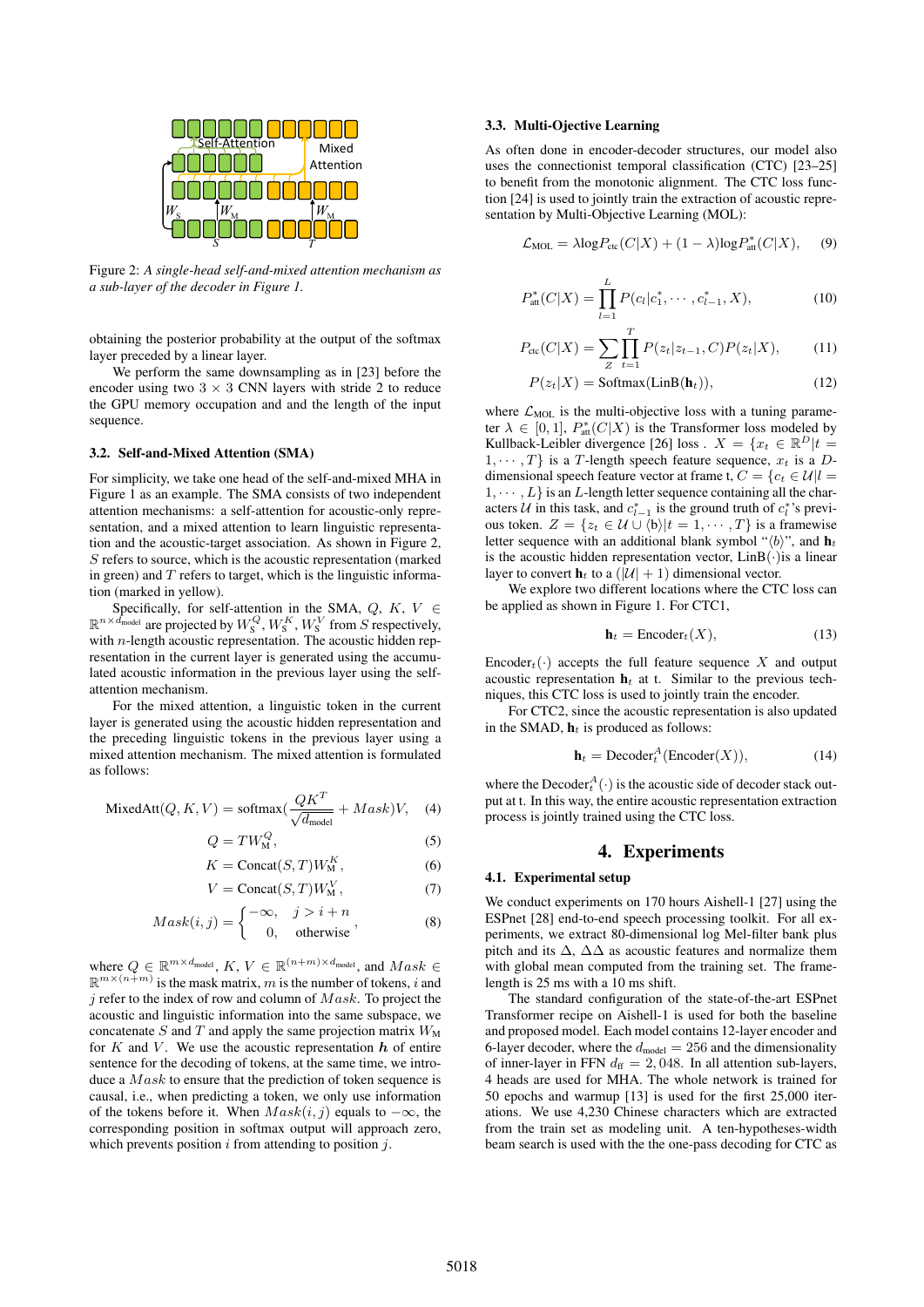

Figure 2: *A single-head self-and-mixed attention mechanism as a sub-layer of the decoder in Figure 1.*

obtaining the posterior probability at the output of the softmax layer preceded by a linear layer.

We perform the same downsampling as in [23] before the encoder using two  $3 \times 3$  CNN layers with stride 2 to reduce the GPU memory occupation and and the length of the input sequence.

#### 3.2. Self-and-Mixed Attention (SMA)

For simplicity, we take one head of the self-and-mixed MHA in Figure 1 as an example. The SMA consists of two independent attention mechanisms: a self-attention for acoustic-only representation, and a mixed attention to learn linguistic representation and the acoustic-target association. As shown in Figure 2, S refers to source, which is the acoustic representation (marked in green) and  $T$  refers to target, which is the linguistic information (marked in yellow).

Specifically, for self-attention in the SMA,  $Q$ ,  $K$ ,  $V \in$  $\mathbb{R}^{n \times d_{\text{model}}}$  are projected by  $W_{\text{S}}^Q$ ,  $W_{\text{S}}^K$ ,  $W_{\text{S}}^V$  from  $S$  respectively, with *n*-length acoustic representation. The acoustic hidden representation in the current layer is generated using the accumulated acoustic information in the previous layer using the selfattention mechanism.

For the mixed attention, a linguistic token in the current layer is generated using the acoustic hidden representation and the preceding linguistic tokens in the previous layer using a mixed attention mechanism. The mixed attention is formulated as follows:

$$
MixedAtt(Q, K, V) = softmax(\frac{QK^{T}}{\sqrt{d_{model}}} + Mask)V, \quad (4)
$$

$$
Q = TW_M^Q,\tag{5}
$$

$$
K = \text{Concat}(S, T)W_{\text{M}}^{K},\tag{6}
$$

$$
V = \text{Concat}(S, T)W_{\text{M}}^{V},\tag{7}
$$

$$
Mask(i, j) = \begin{cases} -\infty, & j > i + n \\ 0, & \text{otherwise} \end{cases}
$$
 (8)

where  $Q \in \mathbb{R}^{m \times d_{\text{model}}}$ ,  $K, V \in \mathbb{R}^{(n+m) \times d_{\text{model}}}$ , and  $Mask \in$  $\mathbb{R}^{m \times (n+m)}$  is the mask matrix, m is the number of tokens, i and  $i$  refer to the index of row and column of  $Mask$ . To project the acoustic and linguistic information into the same subspace, we concatenate S and T and apply the same projection matrix  $W_M$ for  $K$  and  $V$ . We use the acoustic representation  $h$  of entire sentence for the decoding of tokens, at the same time, we introduce a *Mask* to ensure that the prediction of token sequence is causal, i.e., when predicting a token, we only use information of the tokens before it. When  $Mask(i, j)$  equals to  $-\infty$ , the corresponding position in softmax output will approach zero, which prevents position  $i$  from attending to position  $j$ .

#### 3.3. Multi-Ojective Learning

As often done in encoder-decoder structures, our model also uses the connectionist temporal classification (CTC) [23–25] to benefit from the monotonic alignment. The CTC loss function [24] is used to jointly train the extraction of acoustic representation by Multi-Objective Learning (MOL):

$$
\mathcal{L}_{\text{MOL}} = \lambda \log P_{\text{ctc}}(C|X) + (1 - \lambda) \log P_{\text{att}}^{*}(C|X), \quad (9)
$$

$$
P_{\text{att}}^*(C|X) = \prod_{l=1}^L P(c_l|c_1^*, \cdots, c_{l-1}^*, X), \tag{10}
$$

$$
P_{\rm etc}(C|X) = \sum_{Z} \prod_{t=1}^{T} P(z_t|z_{t-1}, C) P(z_t|X), \tag{11}
$$

$$
P(z_t|X) = \text{Softmax}(\text{LinB}(\mathbf{h}_t)),\tag{12}
$$

where  $\mathcal{L}_{\text{MOL}}$  is the multi-objective loss with a tuning parameter  $\lambda \in [0, 1], P^*_{\text{att}}(C|X)$  is the Transformer loss modeled by Kullback-Leibler divergence [26] loss .  $X = \{x_t \in \mathbb{R}^D | t =$  $1, \dots, T$  is a T-length speech feature sequence,  $x_t$  is a Ddimensional speech feature vector at frame t,  $C = \{c_t \in \mathcal{U} | l =$  $1, \dots, L$  is an L-length letter sequence containing all the characters U in this task, and  $c_{l-1}^*$  is the ground truth of  $c_l^*$ 's previous token.  $Z = \{z_t \in \mathcal{U} \cup \langle \mathbf{b} \rangle | t = 1, \cdots, T\}$  is a framewise letter sequence with an additional blank symbol " $\langle b \rangle$ ", and  $h_t$ is the acoustic hidden representation vector,  $LinB(\cdot)$  is a linear layer to convert  $\mathbf{h}_t$  to a  $(|\mathcal{U}| + 1)$  dimensional vector.

We explore two different locations where the CTC loss can be applied as shown in Figure 1. For CTC1,

$$
\mathbf{h}_t = \text{Encoder}_t(X),\tag{13}
$$

Encoder<sub>t</sub>( $\cdot$ ) accepts the full feature sequence X and output acoustic representation  $h_t$  at t. Similar to the previous techniques, this CTC loss is used to jointly train the encoder.

For CTC2, since the acoustic representation is also updated in the SMAD,  $h_t$  is produced as follows:

$$
\mathbf{h}_t = \text{Decoder}_t^A(\text{Encoder}(X)),\tag{14}
$$

where the Decoder $t_A^A(\cdot)$  is the acoustic side of decoder stack output at t. In this way, the entire acoustic representation extraction process is jointly trained using the CTC loss.

#### 4. Experiments

#### 4.1. Experimental setup

We conduct experiments on 170 hours Aishell-1 [27] using the ESPnet [28] end-to-end speech processing toolkit. For all experiments, we extract 80-dimensional log Mel-filter bank plus pitch and its  $\Delta$ ,  $\Delta\Delta$  as acoustic features and normalize them with global mean computed from the training set. The framelength is 25 ms with a 10 ms shift.

The standard configuration of the state-of-the-art ESPnet Transformer recipe on Aishell-1 is used for both the baseline and proposed model. Each model contains 12-layer encoder and 6-layer decoder, where the  $d_{\text{model}} = 256$  and the dimensionality of inner-layer in FFN  $d_{ff} = 2,048$ . In all attention sub-layers, 4 heads are used for MHA. The whole network is trained for 50 epochs and warmup [13] is used for the first 25,000 iterations. We use 4,230 Chinese characters which are extracted from the train set as modeling unit. A ten-hypotheses-width beam search is used with the the one-pass decoding for CTC as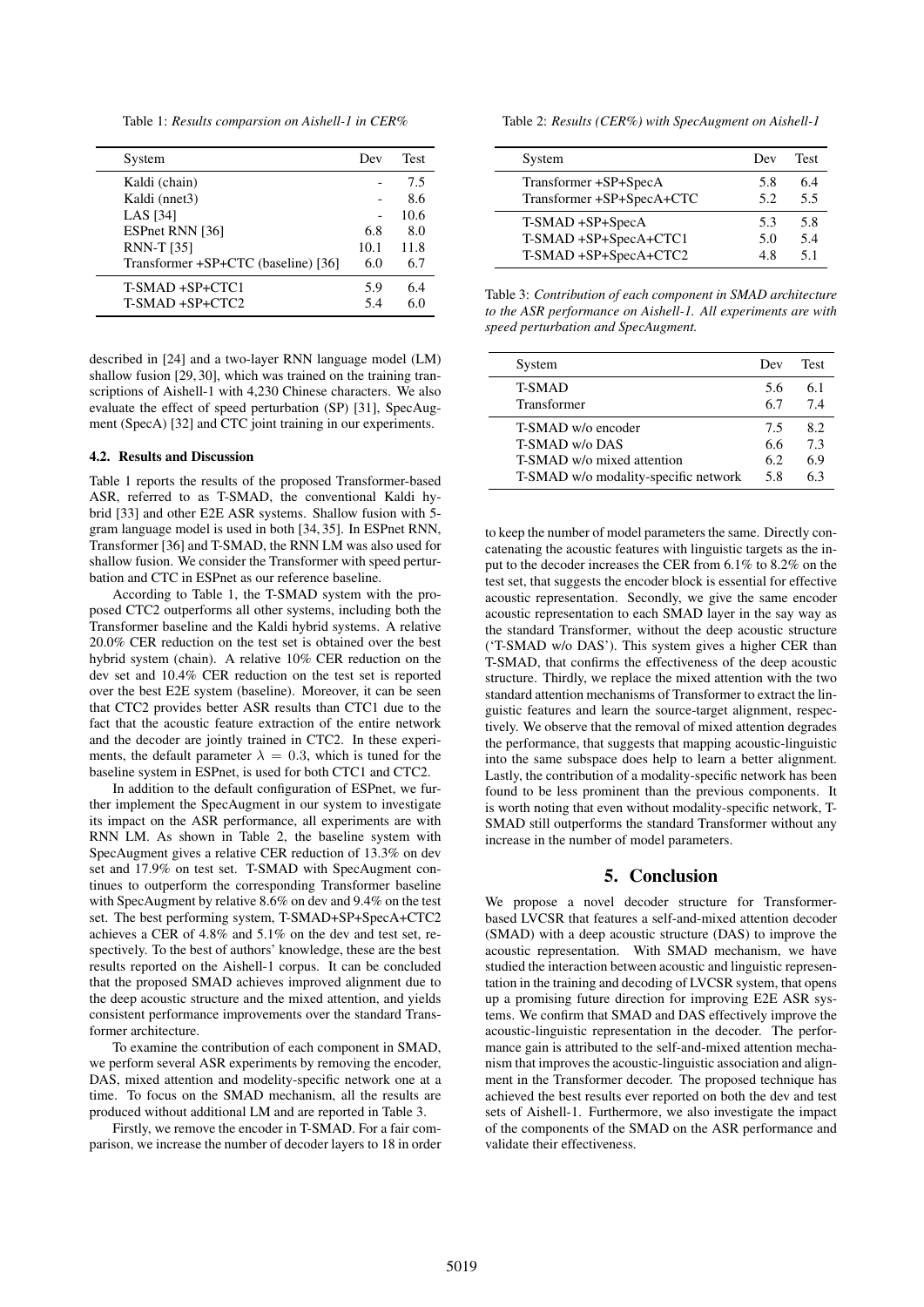Table 1: *Results comparsion on Aishell-1 in CER%*

| System                              | Dev  | <b>Test</b> |
|-------------------------------------|------|-------------|
| Kaldi (chain)                       |      | 7.5         |
| Kaldi (nnet3)                       |      | 8.6         |
| <b>LAS</b> [34]                     |      | 10.6        |
| ESPnet RNN [36]                     | 6.8  | 8.0         |
| <b>RNN-T</b> [35]                   | 10.1 | 11.8        |
| Transformer +SP+CTC (baseline) [36] | 6.0  | 6.7         |
| T-SMAD +SP+CTC1                     | 5.9  | 6.4         |
| T-SMAD +SP+CTC2                     | 5.4  | 60          |

described in [24] and a two-layer RNN language model (LM) shallow fusion [29, 30], which was trained on the training transcriptions of Aishell-1 with 4,230 Chinese characters. We also evaluate the effect of speed perturbation (SP) [31], SpecAugment (SpecA) [32] and CTC joint training in our experiments.

#### 4.2. Results and Discussion

Table 1 reports the results of the proposed Transformer-based ASR, referred to as T-SMAD, the conventional Kaldi hybrid [33] and other E2E ASR systems. Shallow fusion with 5 gram language model is used in both [34, 35]. In ESPnet RNN, Transformer [36] and T-SMAD, the RNN LM was also used for shallow fusion. We consider the Transformer with speed perturbation and CTC in ESPnet as our reference baseline.

According to Table 1, the T-SMAD system with the proposed CTC2 outperforms all other systems, including both the Transformer baseline and the Kaldi hybrid systems. A relative 20.0% CER reduction on the test set is obtained over the best hybrid system (chain). A relative 10% CER reduction on the dev set and 10.4% CER reduction on the test set is reported over the best E2E system (baseline). Moreover, it can be seen that CTC2 provides better ASR results than CTC1 due to the fact that the acoustic feature extraction of the entire network and the decoder are jointly trained in CTC2. In these experiments, the default parameter  $\lambda = 0.3$ , which is tuned for the baseline system in ESPnet, is used for both CTC1 and CTC2.

In addition to the default configuration of ESPnet, we further implement the SpecAugment in our system to investigate its impact on the ASR performance, all experiments are with RNN LM. As shown in Table 2, the baseline system with SpecAugment gives a relative CER reduction of 13.3% on dev set and 17.9% on test set. T-SMAD with SpecAugment continues to outperform the corresponding Transformer baseline with SpecAugment by relative 8.6% on dev and 9.4% on the test set. The best performing system, T-SMAD+SP+SpecA+CTC2 achieves a CER of 4.8% and 5.1% on the dev and test set, respectively. To the best of authors' knowledge, these are the best results reported on the Aishell-1 corpus. It can be concluded that the proposed SMAD achieves improved alignment due to the deep acoustic structure and the mixed attention, and yields consistent performance improvements over the standard Transformer architecture.

To examine the contribution of each component in SMAD, we perform several ASR experiments by removing the encoder, DAS, mixed attention and modelity-specific network one at a time. To focus on the SMAD mechanism, all the results are produced without additional LM and are reported in Table 3.

Firstly, we remove the encoder in T-SMAD. For a fair comparison, we increase the number of decoder layers to 18 in order Table 2: *Results (CER%) with SpecAugment on Aishell-1*

| System                    | Dev | <b>Test</b> |
|---------------------------|-----|-------------|
| Transformer +SP+SpecA     | 5.8 | 6.4         |
| Transformer +SP+SpecA+CTC | 5.2 | 5.5         |
| T-SMAD +SP+SpecA          | 5.3 | 5.8         |
| T-SMAD +SP+SpecA+CTC1     | 5.0 | 5.4         |
| T-SMAD +SP+SpecA+CTC2     | 48  | 51          |

Table 3: *Contribution of each component in SMAD architecture to the ASR performance on Aishell-1. All experiments are with speed perturbation and SpecAugment.*

| System                               | Dev | Test |
|--------------------------------------|-----|------|
| <b>T-SMAD</b>                        | 5.6 | 6.1  |
| Transformer                          | 67  | 74   |
| T-SMAD w/o encoder                   | 7.5 | 8.2  |
| T-SMAD w/o DAS                       | 6.6 | 7.3  |
| T-SMAD w/o mixed attention           | 6.2 | 6.9  |
| T-SMAD w/o modality-specific network | 5.8 | 63   |

to keep the number of model parameters the same. Directly concatenating the acoustic features with linguistic targets as the input to the decoder increases the CER from 6.1% to 8.2% on the test set, that suggests the encoder block is essential for effective acoustic representation. Secondly, we give the same encoder acoustic representation to each SMAD layer in the say way as the standard Transformer, without the deep acoustic structure ('T-SMAD w/o DAS'). This system gives a higher CER than T-SMAD, that confirms the effectiveness of the deep acoustic structure. Thirdly, we replace the mixed attention with the two standard attention mechanisms of Transformer to extract the linguistic features and learn the source-target alignment, respectively. We observe that the removal of mixed attention degrades the performance, that suggests that mapping acoustic-linguistic into the same subspace does help to learn a better alignment. Lastly, the contribution of a modality-specific network has been found to be less prominent than the previous components. It is worth noting that even without modality-specific network, T-SMAD still outperforms the standard Transformer without any increase in the number of model parameters.

### 5. Conclusion

We propose a novel decoder structure for Transformerbased LVCSR that features a self-and-mixed attention decoder (SMAD) with a deep acoustic structure (DAS) to improve the acoustic representation. With SMAD mechanism, we have studied the interaction between acoustic and linguistic representation in the training and decoding of LVCSR system, that opens up a promising future direction for improving E2E ASR systems. We confirm that SMAD and DAS effectively improve the acoustic-linguistic representation in the decoder. The performance gain is attributed to the self-and-mixed attention mechanism that improves the acoustic-linguistic association and alignment in the Transformer decoder. The proposed technique has achieved the best results ever reported on both the dev and test sets of Aishell-1. Furthermore, we also investigate the impact of the components of the SMAD on the ASR performance and validate their effectiveness.